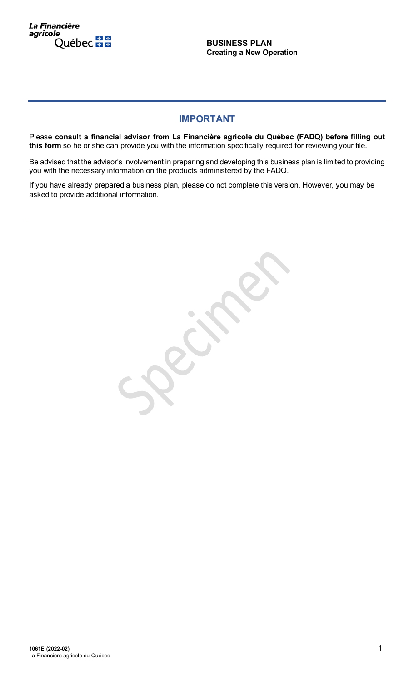La Financière agricole Québec **##** 

**BUSINESS PLAN Creating a New Operation**

# **IMPORTANT**

Please **consult a financial advisor from La Financière agricole du Québec (FADQ) before filling out**  this form so he or she can provide you with the information specifically required for reviewing your file.

Be advised that the advisor's involvement in preparing and developing this business plan is limited to providing you with the necessary information on the products administered by the FADQ.

If you have already prepared a business plan, please do not complete this version. However, you may be asked to provide additional information.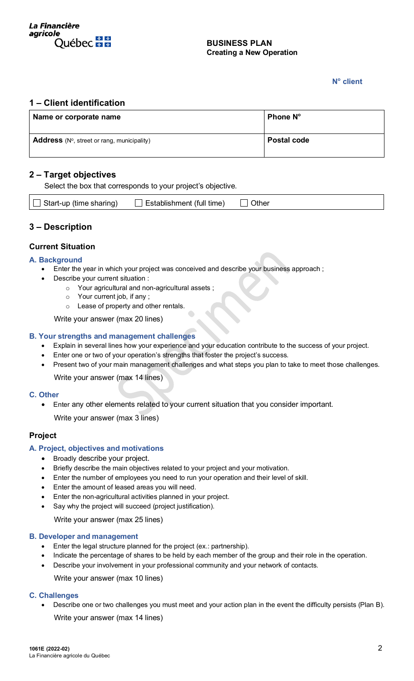

#### **BUSINESS PLAN Creating a New Operation**

## **No client**

## **1 – Client identification**

| Name or corporate name                                       | <b>Phone N°</b>    |
|--------------------------------------------------------------|--------------------|
| <b>Address</b> ( $N^{\circ}$ , street or rang, municipality) | <b>Postal code</b> |

## **2 – Target objectives**

Select the box that corresponds to your project's objective.

| $\Box$ Start-up (time sharing) | $\Box$ Establishment (full time) $\Box$ Other |  |
|--------------------------------|-----------------------------------------------|--|
|--------------------------------|-----------------------------------------------|--|

## **3 – Description**

## **Current Situation**

#### **A. Background**

- Enter the year in which your project was conceived and describe your business approach ;
	- Describe your current situation :
		- o Your agricultural and non-agricultural assets ;
		- o Your current job, if any ;
		- o Lease of property and other rentals.

Write your answer (max 20 lines)

## **B. Your strengths and management challenges**

- Explain in several lines how your experience and your education contribute to the success of your project.
- Enter one or two of your operation's strengths that foster the project's success.
- Present two of your main management challenges and what steps you plan to take to meet those challenges.

Write your answer (max 14 lines)

#### **C. Other**

• Enter any other elements related to your current situation that you consider important.

Write your answer (max 3 lines)

#### **Project**

#### **A. Project, objectives and motivations**

- Broadly describe your project.
- Briefly describe the main objectives related to your project and your motivation.
- Enter the number of employees you need to run your operation and their level of skill.
- Enter the amount of leased areas you will need.
- Enter the non-agricultural activities planned in your project.
- Say why the project will succeed (project justification).

Write your answer (max 25 lines)

#### **B. Developer and management**

- Enter the legal structure planned for the project (ex.: partnership).
- Indicate the percentage of shares to be held by each member of the group and their role in the operation.
- Describe your involvement in your professional community and your network of contacts.

Write your answer (max 10 lines)

#### **C. Challenges**

• Describe one or two challenges you must meet and your action plan in the event the difficulty persists (Plan B). Write your answer (max 14 lines)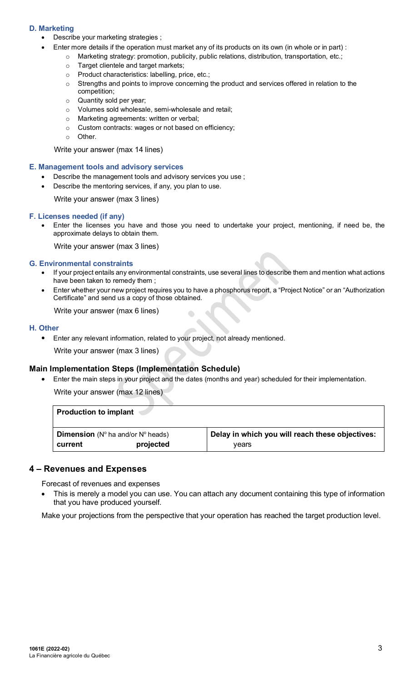## **D. Marketing**

- Describe your marketing strategies ;
	- Enter more details if the operation must market any of its products on its own (in whole or in part) :
		- o Marketing strategy: promotion, publicity, public relations, distribution, transportation, etc.;
		- o Target clientele and target markets;
		- o Product characteristics: labelling, price, etc.;
		- o Strengths and points to improve concerning the product and services offered in relation to the competition;
		- o Quantity sold per year;
		- o Volumes sold wholesale, semi-wholesale and retail;
		- o Marketing agreements: written or verbal;
		- o Custom contracts: wages or not based on efficiency;
		- o Other.

Write your answer (max 14 lines)

#### **E. Management tools and advisory services**

- Describe the management tools and advisory services you use ;
- Describe the mentoring services, if any, you plan to use.

Write your answer (max 3 lines)

#### **F. Licenses needed (if any)**

• Enter the licenses you have and those you need to undertake your project, mentioning, if need be, the approximate delays to obtain them.

Write your answer (max 3 lines)

#### **G. Environmental constraints**

- If your project entails any environmental constraints, use several lines to describe them and mention what actions have been taken to remedy them ;
- Enter whether your new project requires you to have a phosphorus report, a "Project Notice" or an "Authorization Certificate" and send us a copy of those obtained.

Write your answer (max 6 lines)

#### **H. Other**

• Enter any relevant information, related to your project, not already mentioned.

Write your answer (max 3 lines)

#### **Main Implementation Steps (Implementation Schedule)**

• Enter the main steps in your project and the dates (months and year) scheduled for their implementation.

 $\bullet$ 

Write your answer (max 12 lines)

| <b>Production to implant</b>                                |           |                                                 |
|-------------------------------------------------------------|-----------|-------------------------------------------------|
| <b>Dimension</b> ( $N^{\circ}$ ha and/or $N^{\circ}$ heads) |           | Delay in which you will reach these objectives: |
| current                                                     | projected | vears                                           |

## **4 – Revenues and Expenses**

Forecast of revenues and expenses

This is merely a model you can use. You can attach any document containing this type of information that you have produced yourself.

Make your projections from the perspective that your operation has reached the target production level.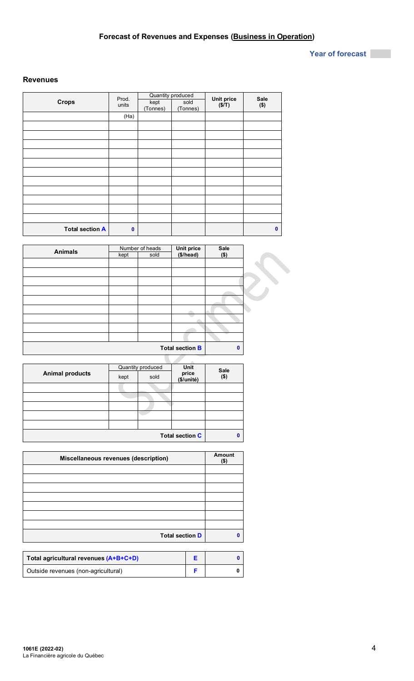## **Year of forecast**

## **Revenues**

|                        | Prod.       |                  | Quantity produced | <b>Unit price</b> | Sale         |
|------------------------|-------------|------------------|-------------------|-------------------|--------------|
| <b>Crops</b>           | units       | kept<br>(Tonnes) | sold<br>(Tonnes)  | (S/T)             | $($ \$)      |
|                        | (Ha)        |                  |                   |                   |              |
|                        |             |                  |                   |                   |              |
|                        |             |                  |                   |                   |              |
|                        |             |                  |                   |                   |              |
|                        |             |                  |                   |                   |              |
|                        |             |                  |                   |                   |              |
|                        |             |                  |                   |                   |              |
|                        |             |                  |                   |                   |              |
|                        |             |                  |                   |                   |              |
|                        |             |                  |                   |                   |              |
|                        |             |                  |                   |                   |              |
|                        |             |                  |                   |                   |              |
| <b>Total section A</b> | $\mathbf 0$ |                  |                   |                   | $\mathbf{0}$ |

| <b>Animals</b> |      | Number of heads |                         | Sale         |
|----------------|------|-----------------|-------------------------|--------------|
|                | kept | sold            | Unit price<br>(\$/head) | $($ \$)      |
|                |      |                 |                         |              |
|                |      |                 |                         |              |
|                |      |                 |                         |              |
|                |      |                 |                         |              |
|                |      |                 |                         |              |
|                |      |                 |                         |              |
|                |      |                 |                         |              |
|                |      |                 |                         |              |
|                |      |                 |                         |              |
|                |      |                 |                         |              |
|                |      |                 |                         |              |
|                |      |                 | <b>Total section B</b>  | $\mathbf{0}$ |
|                |      |                 |                         |              |

|                        |      | Quantity produced | <b>Unit</b>            | Sale |
|------------------------|------|-------------------|------------------------|------|
| <b>Animal products</b> | kept | sold              | price<br>(\$/unité)    | (\$) |
|                        |      |                   |                        |      |
|                        |      |                   |                        |      |
|                        |      |                   |                        |      |
|                        |      |                   |                        |      |
|                        |      |                   |                        |      |
|                        |      |                   | <b>Total section C</b> | 0    |

| Miscellaneous revenues (description) | <b>Amount</b><br>$($ \$) |
|--------------------------------------|--------------------------|
|                                      |                          |
|                                      |                          |
|                                      |                          |
|                                      |                          |
|                                      |                          |
|                                      |                          |
|                                      |                          |
| <b>Total section D</b>               | n                        |

| Total agricultural revenues (A+B+C+D) |  |
|---------------------------------------|--|
| Outside revenues (non-agricultural)   |  |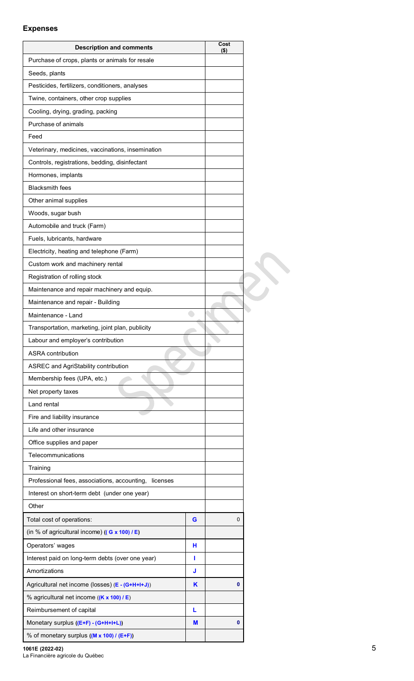## **Expenses**

| <b>Description and comments</b>                       |   | Cost<br>(\$) |
|-------------------------------------------------------|---|--------------|
| Purchase of crops, plants or animals for resale       |   |              |
| Seeds, plants                                         |   |              |
| Pesticides, fertilizers, conditioners, analyses       |   |              |
| Twine, containers, other crop supplies                |   |              |
| Cooling, drying, grading, packing                     |   |              |
| Purchase of animals                                   |   |              |
| Feed                                                  |   |              |
| Veterinary, medicines, vaccinations, insemination     |   |              |
| Controls, registrations, bedding, disinfectant        |   |              |
| Hormones, implants                                    |   |              |
| <b>Blacksmith fees</b>                                |   |              |
| Other animal supplies                                 |   |              |
| Woods, sugar bush                                     |   |              |
| Automobile and truck (Farm)                           |   |              |
| Fuels, lubricants, hardware                           |   |              |
| Electricity, heating and telephone (Farm)             |   |              |
| Custom work and machinery rental                      |   |              |
| Registration of rolling stock                         |   |              |
| Maintenance and repair machinery and equip.           |   |              |
| Maintenance and repair - Building                     |   |              |
| Maintenance - Land                                    |   |              |
| Transportation, marketing, joint plan, publicity      |   |              |
| Labour and employer's contribution                    |   |              |
| <b>ASRA</b> contribution                              |   |              |
| ASREC and AgriStability contribution                  |   |              |
| Membership fees (UPA, etc.)                           |   |              |
| Net property taxes                                    |   |              |
| Land rental                                           |   |              |
| Fire and liability insurance                          |   |              |
| Life and other insurance                              |   |              |
| Office supplies and paper                             |   |              |
| Telecommunications                                    |   |              |
| Training                                              |   |              |
| Professional fees, associations, accounting, licenses |   |              |
| Interest on short-term debt (under one year)          |   |              |
| Other                                                 |   |              |
| Total cost of operations:                             | G | 0            |
| (in % of agricultural income) $((G \times 100) / E)$  |   |              |
| Operators' wages                                      | н |              |
| Interest paid on long-term debts (over one year)      | ı |              |
| Amortizations                                         | J |              |
| Agricultural net income (losses) (E - (G+H+I+J))      | K | 0            |
| % agricultural net income ((K x 100) / E)             |   |              |
| Reimbursement of capital                              | L |              |
| Monetary surplus ((E+F) - (G+H+I+L))                  | М | 0            |
| % of monetary surplus ((M x 100) / (E+F))             |   |              |

**1061E (2022-02)** 5

La Financière agricole du Québec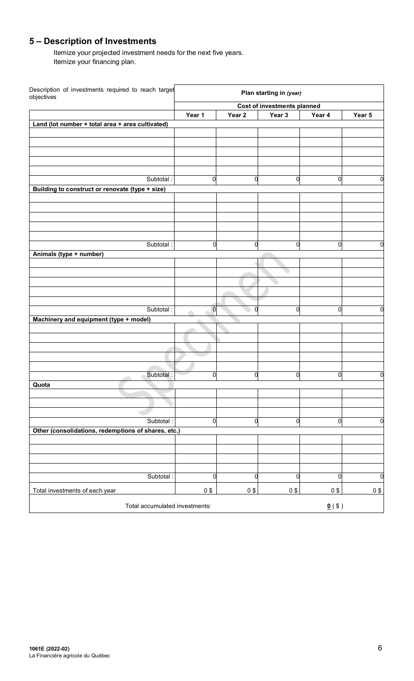# **5 – Description of Investments**

Itemize your projected investment needs for the next five years. Itemize your financing plan.

| Description of investments required to reach target<br>objectives |             |                   | Plan starting in (year)     |                      |             |
|-------------------------------------------------------------------|-------------|-------------------|-----------------------------|----------------------|-------------|
|                                                                   |             |                   | Cost of investments planned |                      |             |
|                                                                   | Year 1      | Year <sub>2</sub> | Year 3                      | Year 4               | Year 5      |
| Land (lot number + total area + area cultivated)                  |             |                   |                             |                      |             |
|                                                                   |             |                   |                             |                      |             |
|                                                                   |             |                   |                             |                      |             |
|                                                                   |             |                   |                             |                      |             |
|                                                                   |             |                   |                             |                      |             |
| Subtotal:                                                         | 0           | $\overline{0}$    | $\overline{0}$              | 0                    | 0           |
| Building to construct or renovate (type + size)                   |             |                   |                             |                      |             |
|                                                                   |             |                   |                             |                      |             |
|                                                                   |             |                   |                             |                      |             |
|                                                                   |             |                   |                             |                      |             |
|                                                                   |             |                   |                             |                      |             |
|                                                                   |             |                   |                             |                      |             |
| Subtotal:                                                         | 0           | 0                 | $\overline{0}$              | 0                    | 0           |
| Animals (type + number)                                           |             |                   |                             |                      |             |
|                                                                   |             |                   |                             |                      |             |
|                                                                   |             |                   |                             |                      |             |
|                                                                   |             |                   |                             |                      |             |
|                                                                   |             |                   |                             |                      |             |
|                                                                   |             |                   |                             |                      |             |
| Subtotal:                                                         | $\mathbf 0$ | 0                 | $\mathbf 0$                 | 0                    | 0           |
| Machinery and equipment (type + model)                            |             |                   |                             |                      |             |
|                                                                   |             |                   |                             |                      |             |
|                                                                   |             |                   |                             |                      |             |
|                                                                   |             |                   |                             |                      |             |
|                                                                   |             |                   |                             |                      |             |
|                                                                   |             |                   |                             |                      |             |
| Subtotal:                                                         | $\mathbf 0$ | O                 | $\mathbf 0$                 | $\overline{0}$       | 0           |
| Quota                                                             |             |                   |                             |                      |             |
|                                                                   |             |                   |                             |                      |             |
|                                                                   |             |                   |                             |                      |             |
|                                                                   |             |                   |                             |                      |             |
| Subtotal:                                                         | $\mathbf 0$ | $\overline{0}$    | $\mathbf 0$                 | $\mathbf 0$          | 0           |
| Other (consolidations, redemptions of shares, etc.)               |             |                   |                             |                      |             |
|                                                                   |             |                   |                             |                      |             |
|                                                                   |             |                   |                             |                      |             |
|                                                                   |             |                   |                             |                      |             |
| Subtotal:                                                         | $\mathbf 0$ | $\overline{0}$    | $\mathbf 0$                 | $\overline{0}$       | $\mathbf 0$ |
| Total investments of each year                                    | $0$ \$      | $0$ \$            | $0$ \$                      | 0\$                  | $0$ \$      |
| Total accumulated investments:                                    |             |                   |                             | $\underline{0}$ (\$) |             |